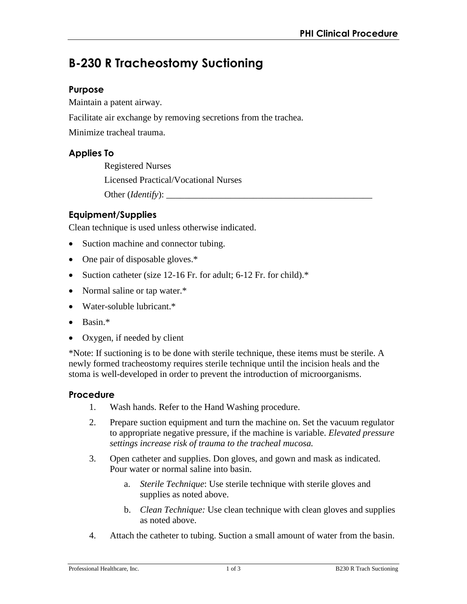# **B-230 R Tracheostomy Suctioning**

## **Purpose**

Maintain a patent airway.

Facilitate air exchange by removing secretions from the trachea.

Minimize tracheal trauma.

## **Applies To**

Registered Nurses Licensed Practical/Vocational Nurses Other (*Identify*):

## **Equipment/Supplies**

Clean technique is used unless otherwise indicated.

- Suction machine and connector tubing.
- One pair of disposable gloves.\*
- Suction catheter (size 12-16 Fr. for adult; 6-12 Fr. for child).\*
- Normal saline or tap water.\*
- Water-soluble lubricant.\*
- Basin.\*
- Oxygen, if needed by client

\*Note: If suctioning is to be done with sterile technique, these items must be sterile. A newly formed tracheostomy requires sterile technique until the incision heals and the stoma is well-developed in order to prevent the introduction of microorganisms.

## **Procedure**

- 1. Wash hands. Refer to the Hand Washing procedure.
- 2. Prepare suction equipment and turn the machine on. Set the vacuum regulator to appropriate negative pressure, if the machine is variable. *Elevated pressure settings increase risk of trauma to the tracheal mucosa.*
- 3. Open catheter and supplies. Don gloves, and gown and mask as indicated. Pour water or normal saline into basin.
	- a. *Sterile Technique*: Use sterile technique with sterile gloves and supplies as noted above.
	- b. *Clean Technique:* Use clean technique with clean gloves and supplies as noted above.
- 4. Attach the catheter to tubing. Suction a small amount of water from the basin.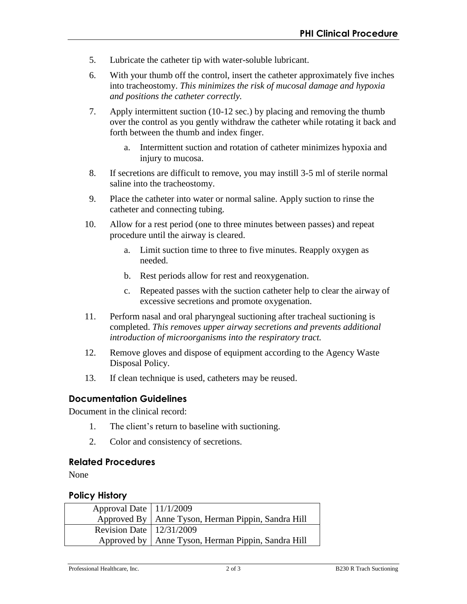- 5. Lubricate the catheter tip with water-soluble lubricant.
- 6. With your thumb off the control, insert the catheter approximately five inches into tracheostomy. *This minimizes the risk of mucosal damage and hypoxia and positions the catheter correctly.*
- 7. Apply intermittent suction (10-12 sec.) by placing and removing the thumb over the control as you gently withdraw the catheter while rotating it back and forth between the thumb and index finger.
	- a. Intermittent suction and rotation of catheter minimizes hypoxia and injury to mucosa.
- 8. If secretions are difficult to remove, you may instill 3-5 ml of sterile normal saline into the tracheostomy.
- 9. Place the catheter into water or normal saline. Apply suction to rinse the catheter and connecting tubing.
- 10. Allow for a rest period (one to three minutes between passes) and repeat procedure until the airway is cleared.
	- a. Limit suction time to three to five minutes. Reapply oxygen as needed.
	- b. Rest periods allow for rest and reoxygenation.
	- c. Repeated passes with the suction catheter help to clear the airway of excessive secretions and promote oxygenation.
- 11. Perform nasal and oral pharyngeal suctioning after tracheal suctioning is completed. *This removes upper airway secretions and prevents additional introduction of microorganisms into the respiratory tract.*
- 12. Remove gloves and dispose of equipment according to the Agency Waste Disposal Policy.
- 13. If clean technique is used, catheters may be reused.

#### **Documentation Guidelines**

Document in the clinical record:

- 1. The client's return to baseline with suctioning.
- 2. Color and consistency of secretions.

#### **Related Procedures**

None

#### **Policy History**

| Approval Date   11/1/2009    |                                                      |
|------------------------------|------------------------------------------------------|
|                              | Approved By   Anne Tyson, Herman Pippin, Sandra Hill |
| Revision Date   $12/31/2009$ |                                                      |
|                              | Approved by   Anne Tyson, Herman Pippin, Sandra Hill |